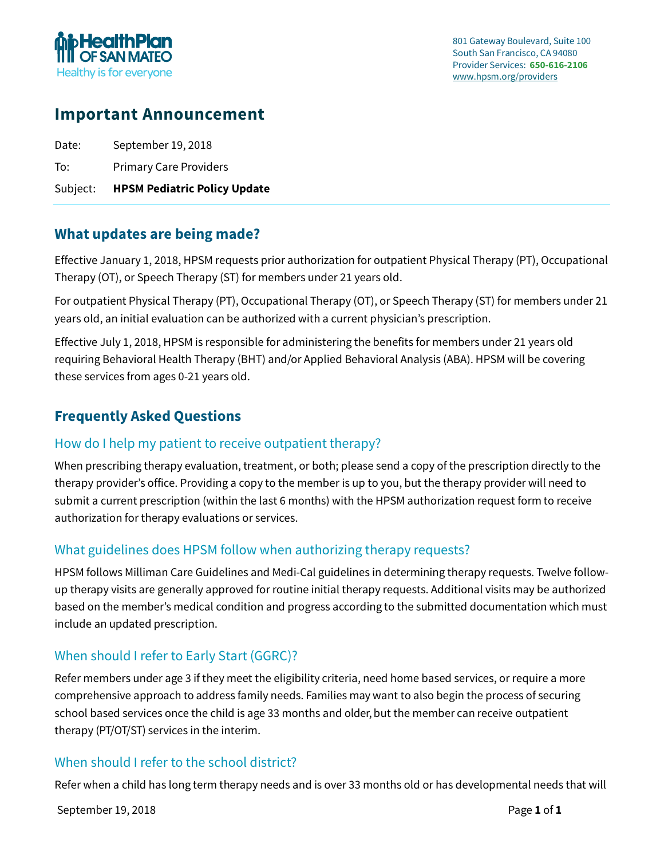

# **Important Announcement**

| Subject: | <b>HPSM Pediatric Policy Update</b> |
|----------|-------------------------------------|
| To:      | <b>Primary Care Providers</b>       |
| Date:    | September 19, 2018                  |

## **What updates are being made?**

Effective January 1, 2018, HPSM requests prior authorization for outpatient Physical Therapy (PT), Occupational Therapy (OT), or Speech Therapy (ST) for members under 21 years old.

For outpatient Physical Therapy (PT), Occupational Therapy (OT), or Speech Therapy (ST) for members under 21 years old, an initial evaluation can be authorized with a current physician's prescription.

Effective July 1, 2018, HPSM is responsible for administering the benefits for members under 21 years old requiring Behavioral Health Therapy (BHT) and/or Applied Behavioral Analysis (ABA). HPSM will be covering these services from ages 0-21 years old.

## **Frequently Asked Questions**

#### How do I help my patient to receive outpatient therapy?

When prescribing therapy evaluation, treatment, or both; please send a copy of the prescription directly to the therapy provider's office. Providing a copy to the member is up to you, but the therapy provider will need to submit a current prescription (within the last 6 months) with the HPSM authorization request form to receive authorization for therapy evaluations or services.

### What guidelines does HPSM follow when authorizing therapy requests?

HPSM follows Milliman Care Guidelines and Medi-Cal guidelines in determining therapy requests. Twelve followup therapy visits are generally approved for routine initial therapy requests. Additional visits may be authorized based on the member's medical condition and progress according to the submitted documentation which must include an updated prescription.

### When should I refer to Early Start (GGRC)?

Refer members under age 3 if they meet the eligibility criteria, need home based services, or require a more comprehensive approach to address family needs. Families may want to also begin the process of securing school based services once the child is age 33 months and older, but the member can receive outpatient therapy (PT/OT/ST) services in the interim.

### When should I refer to the school district?

Refer when a child has long term therapy needs and is over 33 months old or has developmental needs that will

September 19, 2018 **Page 1** of **1**